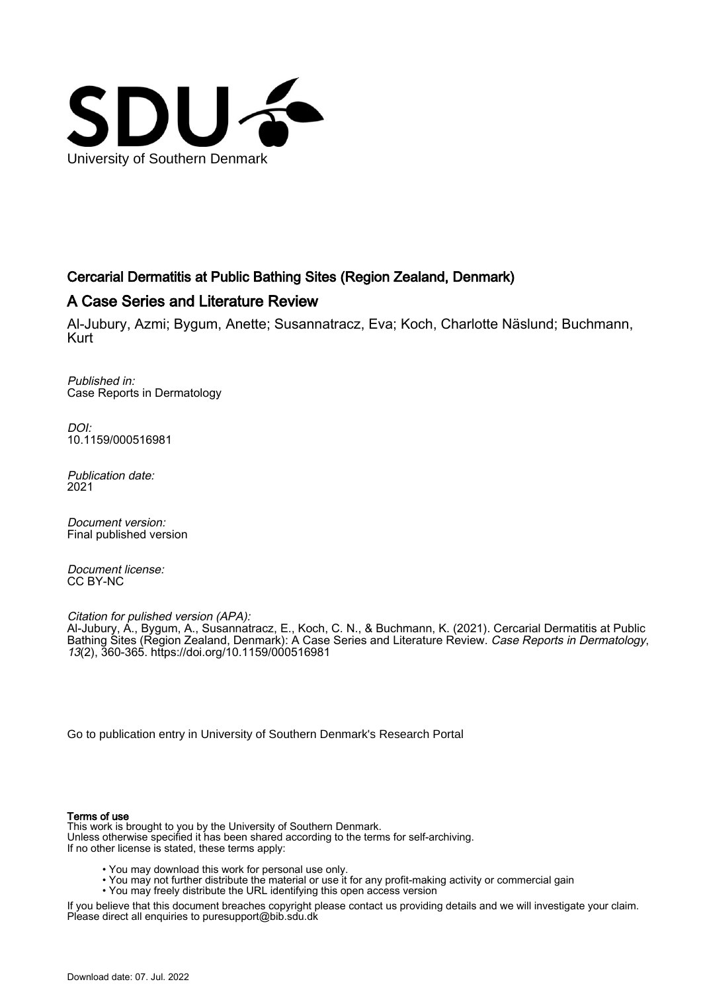

# Cercarial Dermatitis at Public Bathing Sites (Region Zealand, Denmark)

# A Case Series and Literature Review

Al-Jubury, Azmi; Bygum, Anette; Susannatracz, Eva; Koch, Charlotte Näslund; Buchmann, Kurt

Published in: Case Reports in Dermatology

 $D$ [10.1159/000516981](https://doi.org/10.1159/000516981)

Publication date: 2021

Document version: Final published version

Document license: CC BY-NC

Citation for pulished version (APA):

Al-Jubury, A., Bygum, A., Susannatracz, E., Koch, C. N., & Buchmann, K. (2021). Cercarial Dermatitis at Public Bathing Sites (Region Zealand, Denmark): A Case Series and Literature Review. *Case Reports in Dermatology*, 13(2), 360-365.<https://doi.org/10.1159/000516981>

[Go to publication entry in University of Southern Denmark's Research Portal](https://portal.findresearcher.sdu.dk/en/publications/8290b2d3-57d2-4b23-8d01-b427786d37f7)

#### Terms of use

This work is brought to you by the University of Southern Denmark. Unless otherwise specified it has been shared according to the terms for self-archiving. If no other license is stated, these terms apply:

- You may download this work for personal use only.
- You may not further distribute the material or use it for any profit-making activity or commercial gain
- You may freely distribute the URL identifying this open access version

If you believe that this document breaches copyright please contact us providing details and we will investigate your claim. Please direct all enquiries to puresupport@bib.sdu.dk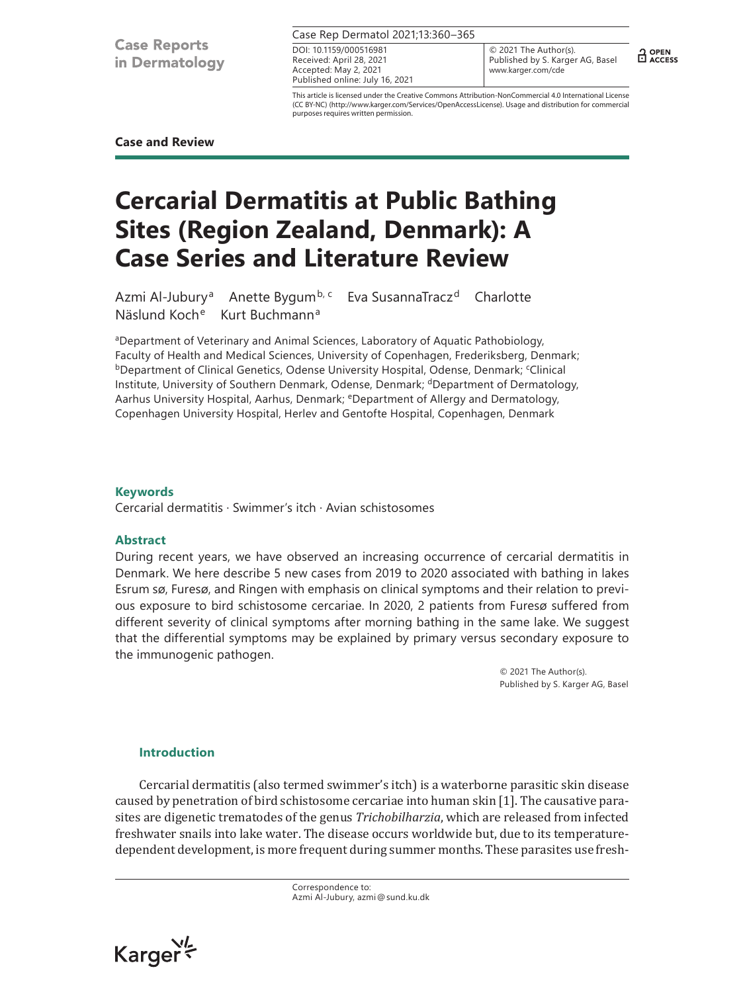**Case Reports** in Dermatology

|  | Case Rep Dermatol 2021;13:360-365 |  |
|--|-----------------------------------|--|
|  |                                   |  |

Received: April 28, 2021 Accepted: May 2, 2021 Published online: July 16, 2021 DOI: 10.1159/000516981

© 2021 The Author(s). Published by S. Karger AG, Basel www.karger.com/cde

 $\frac{1}{11}$  OPEN

This article is licensed under the Creative Commons Attribution-NonCommercial 4.0 International License (CC BY-NC) (http://www.karger.com/Services/OpenAccessLicense). Usage and distribution for commercial purposes requires written permission.

## **Case and Review**

# **Cercarial Dermatitis at Public Bathing Sites (Region Zealand, Denmark): A Case Series and Literature Review**

Azmi Al-Jubury<sup>a</sup> Anette Bygum<sup>b, c</sup> Eva SusannaTracz<sup>d</sup> Charlotte Näslund Koche Kurt Buchmann<sup>a</sup>

aDepartment of Veterinary and Animal Sciences, Laboratory of Aquatic Pathobiology, Faculty of Health and Medical Sciences, University of Copenhagen, Frederiksberg, Denmark; <sup>b</sup>Department of Clinical Genetics, Odense University Hospital, Odense, Denmark; <sup>c</sup>Clinical Institute, University of Southern Denmark, Odense, Denmark; <sup>d</sup>Department of Dermatology, Aarhus University Hospital, Aarhus, Denmark; <sup>e</sup>Department of Allergy and Dermatology, Copenhagen University Hospital, Herlev and Gentofte Hospital, Copenhagen, Denmark

# **Keywords**

Cercarial dermatitis · Swimmer's itch · Avian schistosomes

#### **Abstract**

During recent years, we have observed an increasing occurrence of cercarial dermatitis in Denmark. We here describe 5 new cases from 2019 to 2020 associated with bathing in lakes Esrum sø, Furesø, and Ringen with emphasis on clinical symptoms and their relation to previous exposure to bird schistosome cercariae. In 2020, 2 patients from Furesø suffered from different severity of clinical symptoms after morning bathing in the same lake. We suggest that the differential symptoms may be explained by primary versus secondary exposure to the immunogenic pathogen.

> © 2021 The Author(s). Published by S. Karger AG, Basel

# **Introduction**

Cercarial dermatitis (also termed swimmer's itch) is a waterborne parasitic skin disease caused by penetration of bird schistosome cercariae into human skin [[1](#page-6-0)]. The causative parasites are digenetic trematodes of the genus *Trichobilharzia*, which are released from infected freshwater snails into lake water. The disease occurs worldwide but, due to its temperaturedependent development, is more frequent during summer months. These parasites use fresh-

> Correspondence to: Azmi Al-Jubury, azmi@sund.ku.dk

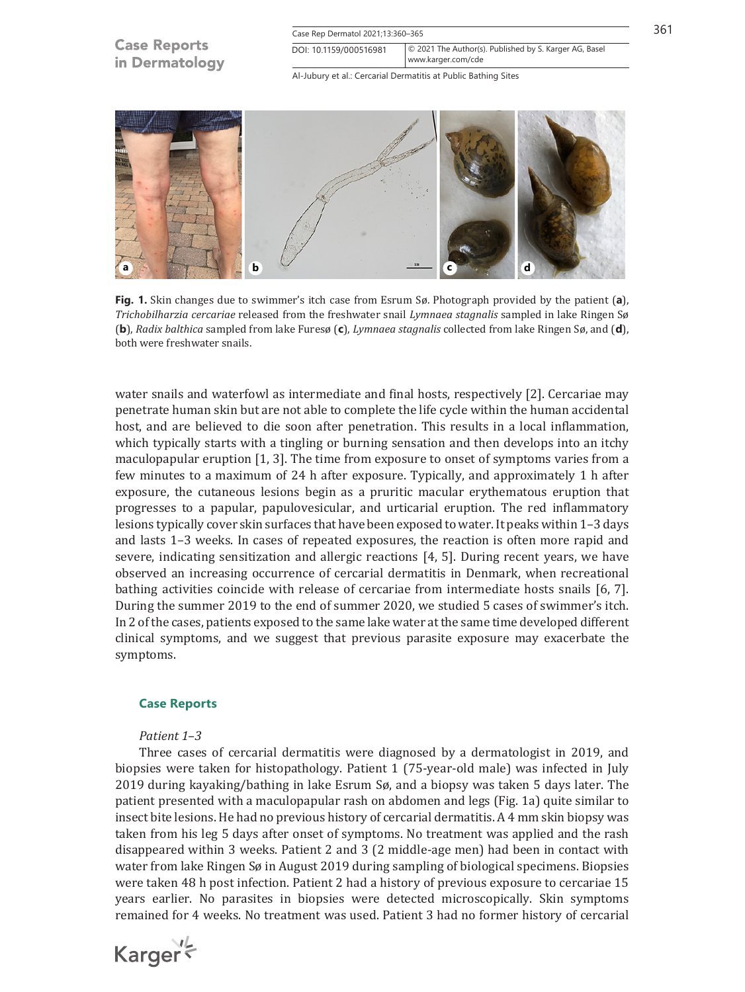| <b>Case Reports</b><br>in Dermatology | Case Rep Dermatol 2021;13:360-365                                                                      |  | 361 |
|---------------------------------------|--------------------------------------------------------------------------------------------------------|--|-----|
|                                       | © 2021 The Author(s). Published by S. Karger AG, Basel<br>DOI: 10.1159/000516981<br>www.karger.com/cde |  |     |
|                                       | Al-Jubury et al.: Cercarial Dermatitis at Public Bathing Sites                                         |  |     |



**Fig. 1.** Skin changes due to swimmer's itch case from Esrum Sø. Photograph provided by the patient (**a**), *Trichobilharzia cercariae* released from the freshwater snail *Lymnaea stagnalis* sampled in lake Ringen Sø (**b**), *Radix balthica* sampled from lake Furesø (**c**), *Lymnaea stagnalis* collected from lake Ringen Sø, and (**d**), both were freshwater snails.

water snails and waterfowl as intermediate and final hosts, respectively [\[2\]](#page-6-1). Cercariae may penetrate human skin but are not able to complete the life cycle within the human accidental host, and are believed to die soon after penetration. This results in a local inflammation, which typically starts with a tingling or burning sensation and then develops into an itchy maculopapular eruption [[1,](#page-6-0) [3](#page-6-2)]. The time from exposure to onset of symptoms varies from a few minutes to a maximum of 24 h after exposure. Typically, and approximately 1 h after exposure, the cutaneous lesions begin as a pruritic macular erythematous eruption that progresses to a papular, papulovesicular, and urticarial eruption. The red inflammatory lesions typically cover skin surfaces that have been exposed to water. It peaks within 1–3 days and lasts 1–3 weeks. In cases of repeated exposures, the reaction is often more rapid and severe, indicating sensitization and allergic reactions [[4,](#page-6-3) [5](#page-6-4)]. During recent years, we have observed an increasing occurrence of cercarial dermatitis in Denmark, when recreational bathing activities coincide with release of cercariae from intermediate hosts snails [[6,](#page-6-5) [7](#page-6-6)]. During the summer 2019 to the end of summer 2020, we studied 5 cases of swimmer's itch. In 2 of the cases, patients exposed to the same lake water at the same time developed different clinical symptoms, and we suggest that previous parasite exposure may exacerbate the symptoms.

# **Case Reports**

#### *Patient 1–3*

Three cases of cercarial dermatitis were diagnosed by a dermatologist in 2019, and biopsies were taken for histopathology. Patient 1 (75-year-old male) was infected in July 2019 during kayaking/bathing in lake Esrum Sø, and a biopsy was taken 5 days later. The patient presented with a maculopapular rash on abdomen and legs (Fig. 1a) quite similar to insect bite lesions. He had no previous history of cercarial dermatitis. A 4 mm skin biopsy was taken from his leg 5 days after onset of symptoms. No treatment was applied and the rash disappeared within 3 weeks. Patient 2 and 3 (2 middle-age men) had been in contact with water from lake Ringen Sø in August 2019 during sampling of biological specimens. Biopsies were taken 48 h post infection. Patient 2 had a history of previous exposure to cercariae 15 years earlier. No parasites in biopsies were detected microscopically. Skin symptoms remained for 4 weeks. No treatment was used. Patient 3 had no former history of cercarial

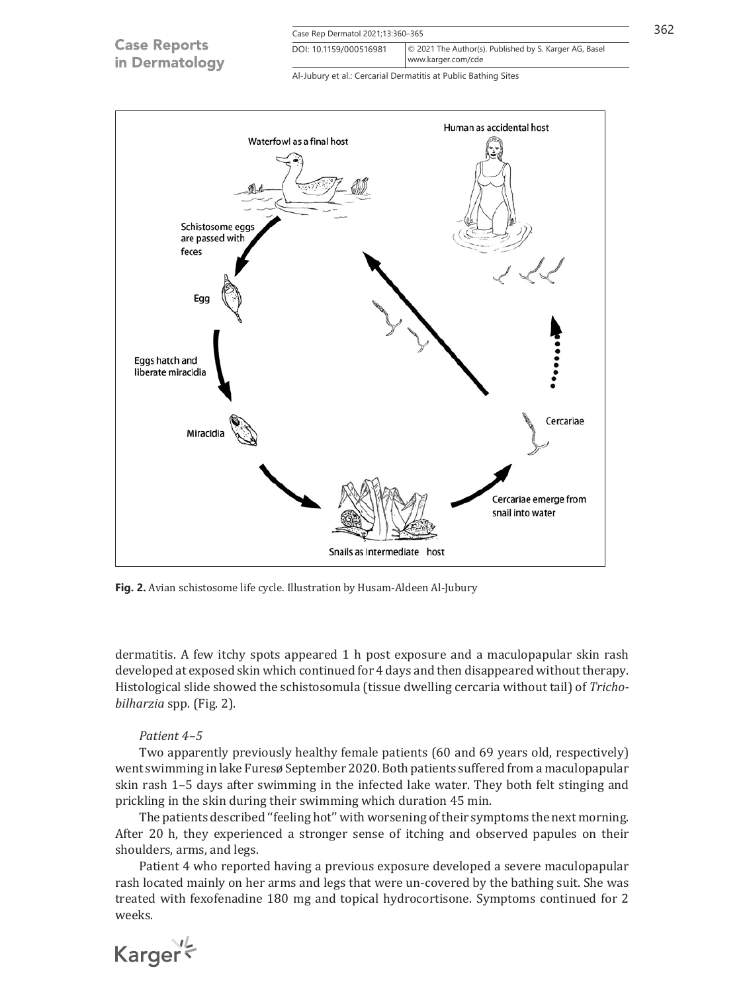| <b>Case Reports</b><br>in Dermatology | Case Rep Dermatol 2021;13:360-365                                                                      |  | 362 |
|---------------------------------------|--------------------------------------------------------------------------------------------------------|--|-----|
|                                       | © 2021 The Author(s). Published by S. Karger AG, Basel<br>DOI: 10.1159/000516981<br>www.karger.com/cde |  |     |
|                                       | Al-Jubury et al.: Cercarial Dermatitis at Public Bathing Sites                                         |  |     |



**Fig. 2.** Avian schistosome life cycle. Illustration by Husam-Aldeen Al-Jubury

dermatitis. A few itchy spots appeared 1 h post exposure and a maculopapular skin rash developed at exposed skin which continued for 4 days and then disappeared without therapy. Histological slide showed the schistosomula (tissue dwelling cercaria without tail) of *Trichobilharzia* spp. (Fig. 2).

#### *Patient 4–5*

Two apparently previously healthy female patients (60 and 69 years old, respectively) went swimming in lake Furesø September 2020. Both patients suffered from a maculopapular skin rash 1–5 days after swimming in the infected lake water. They both felt stinging and prickling in the skin during their swimming which duration 45 min.

The patients described ''feeling hot'' with worsening of their symptoms the next morning. After 20 h, they experienced a stronger sense of itching and observed papules on their shoulders, arms, and legs.

Patient 4 who reported having a previous exposure developed a severe maculopapular rash located mainly on her arms and legs that were un-covered by the bathing suit. She was treated with fexofenadine 180 mg and topical hydrocortisone. Symptoms continued for 2 weeks.

Karger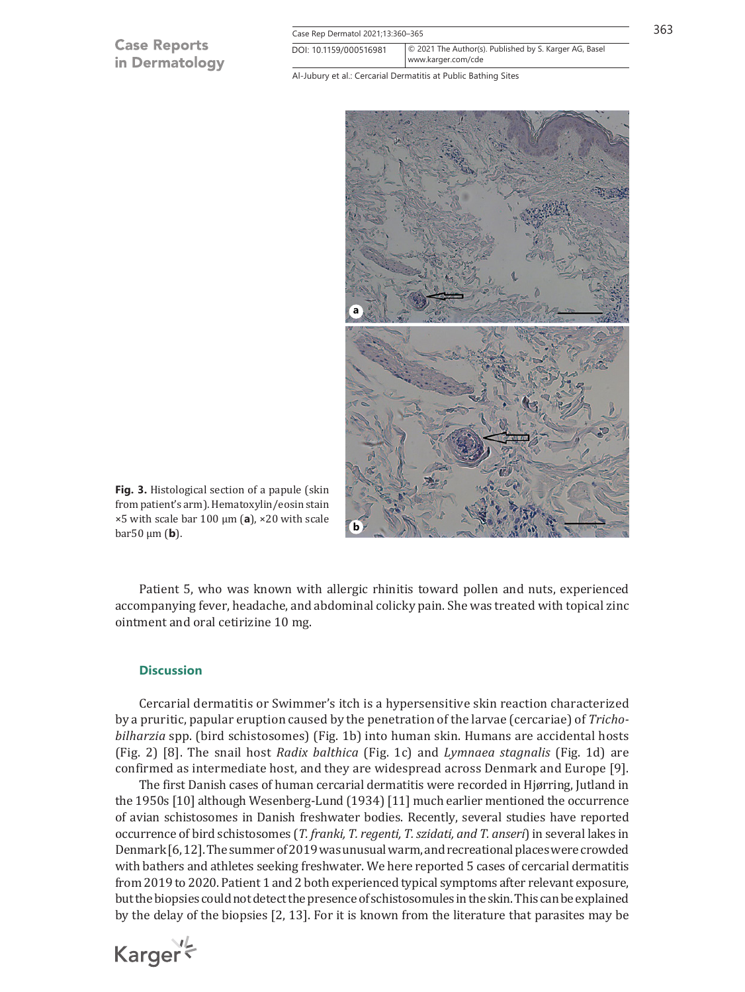# **Case Reports** in Dermatology

| Case Rep Dermatol 2021;13:360-365 |                                                                              |  |
|-----------------------------------|------------------------------------------------------------------------------|--|
| DOI: 10.1159/000516981            | © 2021 The Author(s). Published by S. Karger AG, Basel<br>www.karger.com/cde |  |

Al-Jubury et al.: Cercarial Dermatitis at Public Bathing Sites



**Fig. 3.** Histological section of a papule (skin from patient's arm). Hematoxylin/eosin stain ×5 with scale bar 100 μm (**a**), ×20 with scale bar50 μm (**b**).

Patient 5, who was known with allergic rhinitis toward pollen and nuts, experienced accompanying fever, headache, and abdominal colicky pain. She was treated with topical zinc ointment and oral cetirizine 10 mg.

#### **Discussion**

Karger

Cercarial dermatitis or Swimmer's itch is a hypersensitive skin reaction characterized by a pruritic, papular eruption caused by the penetration of the larvae (cercariae) of *Trichobilharzia* spp. (bird schistosomes) (Fig. 1b) into human skin. Humans are accidental hosts (Fig. 2) [\[8](#page-6-7)]. The snail host *Radix balthica* (Fig. 1c) and *Lymnaea stagnalis* (Fig. 1d) are confirmed as intermediate host, and they are widespread across Denmark and Europe [\[9](#page-6-8)].

The first Danish cases of human cercarial dermatitis were recorded in Hjørring, Jutland in the 1950s [\[10\]](#page-6-9) although Wesenberg-Lund (1934) [\[11\]](#page-6-10) much earlier mentioned the occurrence of avian schistosomes in Danish freshwater bodies. Recently, several studies have reported occurrence of bird schistosomes (*T. franki, T. regenti, T. szidati, and T. anseri*) in several lakes in Denmark [\[6,](#page-6-5) [12](#page-6-11)]. The summer of 2019 was unusual warm, and recreational places were crowded with bathers and athletes seeking freshwater. We here reported 5 cases of cercarial dermatitis from 2019 to 2020. Patient 1 and 2 both experienced typical symptoms after relevant exposure, but the biopsies could not detect the presence of schistosomules in the skin. This can be explained by the delay of the biopsies [\[2](#page-6-1), [13](#page-6-12)]. For it is known from the literature that parasites may be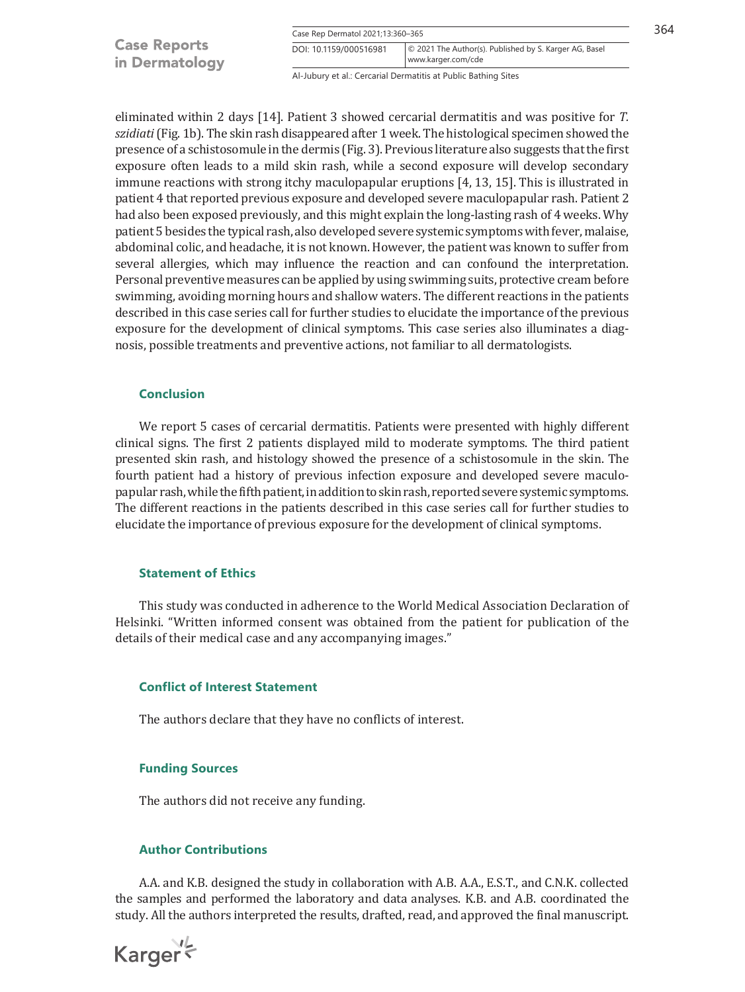|                     | Case Rep Dermatol 2021;13:360-365 |                                                        | 364 |
|---------------------|-----------------------------------|--------------------------------------------------------|-----|
| <b>Case Reports</b> | DOI: 10.1159/000516981            | © 2021 The Author(s). Published by S. Karger AG, Basel |     |
| in Dermatology      |                                   | www.karger.com/cde                                     |     |

Al-Jubury et al.: Cercarial Dermatitis at Public Bathing Sites

eliminated within 2 days [[14](#page-6-13)]. Patient 3 showed cercarial dermatitis and was positive for *T. szidiati* (Fig. 1b). The skin rash disappeared after 1 week. The histological specimen showed the presence of a schistosomule in the dermis (Fig. 3). Previous literature also suggests that the first exposure often leads to a mild skin rash, while a second exposure will develop secondary immune reactions with strong itchy maculopapular eruptions [[4](#page-6-3), [13](#page-6-12), [15](#page-6-14)]. This is illustrated in patient 4 that reported previous exposure and developed severe maculopapular rash. Patient 2 had also been exposed previously, and this might explain the long-lasting rash of 4 weeks. Why patient 5 besides the typical rash, also developed severe systemic symptoms with fever, malaise, abdominal colic, and headache, it is not known. However, the patient was known to suffer from several allergies, which may influence the reaction and can confound the interpretation. Personal preventive measures can be applied by using swimming suits, protective cream before swimming, avoiding morning hours and shallow waters. The different reactions in the patients described in this case series call for further studies to elucidate the importance of the previous exposure for the development of clinical symptoms. This case series also illuminates a diagnosis, possible treatments and preventive actions, not familiar to all dermatologists.

# **Conclusion**

We report 5 cases of cercarial dermatitis. Patients were presented with highly different clinical signs. The first 2 patients displayed mild to moderate symptoms. The third patient presented skin rash, and histology showed the presence of a schistosomule in the skin. The fourth patient had a history of previous infection exposure and developed severe maculopapular rash, while the fifth patient, in addition to skin rash, reported severe systemic symptoms. The different reactions in the patients described in this case series call for further studies to elucidate the importance of previous exposure for the development of clinical symptoms.

## **Statement of Ethics**

This study was conducted in adherence to the World Medical Association Declaration of Helsinki. "Written informed consent was obtained from the patient for publication of the details of their medical case and any accompanying images."

#### **Conflict of Interest Statement**

The authors declare that they have no conflicts of interest.

#### **Funding Sources**

The authors did not receive any funding.

# **Author Contributions**

A.A. and K.B. designed the study in collaboration with A.B. A.A., E.S.T., and C.N.K. collected the samples and performed the laboratory and data analyses. K.B. and A.B. coordinated the study. All the authors interpreted the results, drafted, read, and approved the final manuscript.